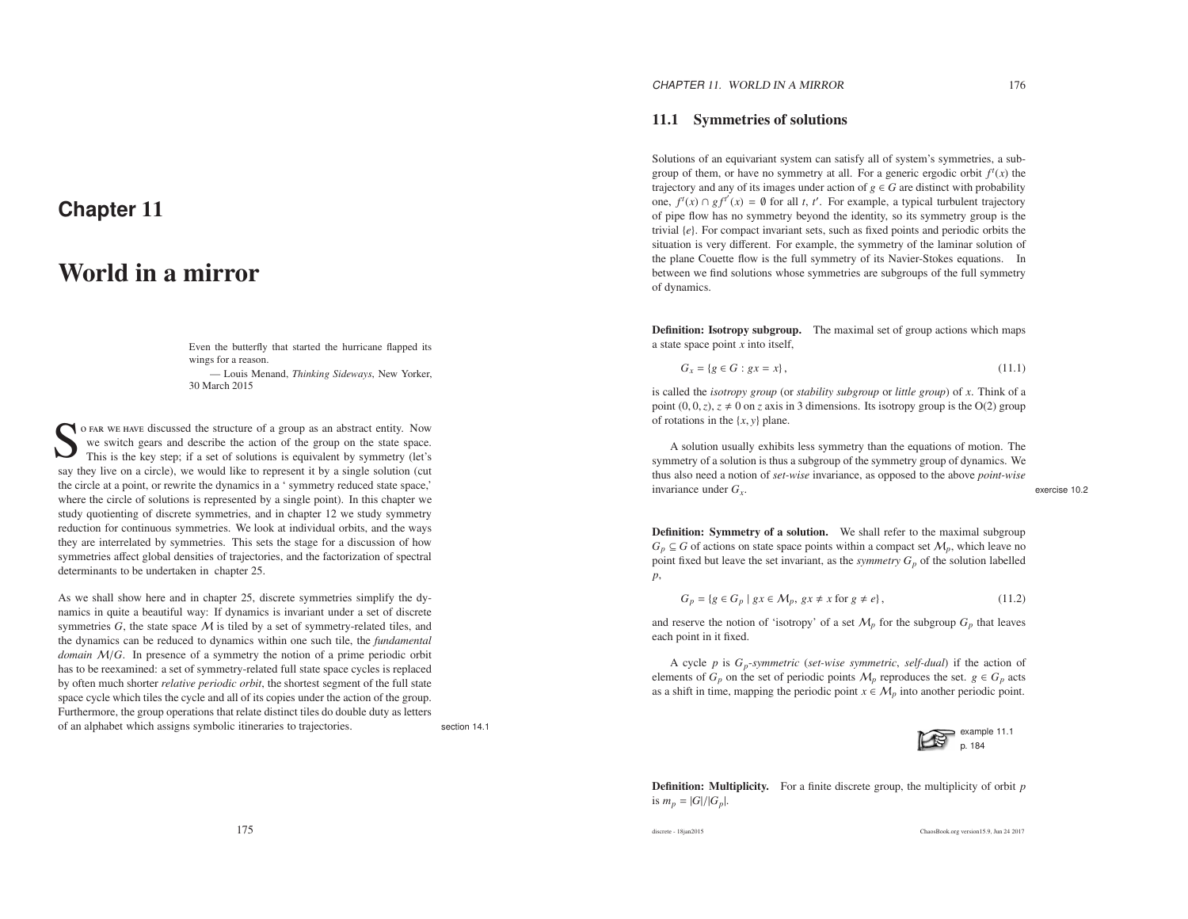# **Chapter** <sup>11</sup>

# World in <sup>a</sup> mirror

Even the butterfly that started the hurricane flapped itswings for <sup>a</sup> reason.

— Louis Menand, *Thinking Sideways*, New Yorker, 30 March 2015

So FAR WE HAVE discussed the structure of a group as an abstract entity. Now we switch gears and describe the action of the group on the state space.<br>This is the key step; if a set of solutions is equivalent by symmetry (l say they live on <sup>a</sup> circle), we would like to represen<sup>t</sup> it by <sup>a</sup> single solution (cut the circle at <sup>a</sup> point, or rewrite the dynamics in <sup>a</sup> ' symmetry reduced state space,' where the circle of solutions is represented by <sup>a</sup> single point). In this chapter we study quotienting of discrete symmetries, and in chapter 12 we study symmetry reduction for continuous symmetries. We look at individual orbits, and the ways they are interrelated by symmetries. This sets the stage for <sup>a</sup> discussion of how symmetries <sup>a</sup>ffect global densities of trajectories, and the factorization of spectraldeterminants to be undertaken in chapter 25.

As we shall show here and in chapter 25, discrete symmetries simplify the dynamics in quite <sup>a</sup> beautiful way: If dynamics is invariant under <sup>a</sup> set of discretesymmetries  $G$ , the state space  $M$  is tiled by a set of symmetry-related tiles, and<br>the dynamics can be reduced to dynamics within one such tile, the fundamental the dynamics can be reduced to dynamics within one such tile, the *fundamental domain* <sup>M</sup>/*G*. In presence of <sup>a</sup> symmetry the notion of <sup>a</sup> prime periodic orbit has to be reexamined: <sup>a</sup> set of symmetry-related full state space cycles is replaced by often much shorter *relative periodic orbit*, the shortest segmen<sup>t</sup> of the full state space cycle which tiles the cycle and all of its copies under the action of the group. Furthermore, the group operations that relate distinct tiles do double duty as lettersof an alphabet which assigns symbolic itineraries to trajectories. section 14.1

Solutions of an equivariant system can satisfy all of system's symmetries, <sup>a</sup> subgroup of them, or have no symmetry at all. For a generic ergodic orbit  $f<sup>t</sup>(x)$  the trajectory and any of its images under action of  $g \in G$  are distinct with probability one,  $f'(x) \cap gf'(x) = \emptyset$  for all *t*, *t'*. For example, a typical turbulent trajectory of pipe flow has no symmetry beyond the identity, so its symmetry group is the trivial {*e*}. For compac<sup>t</sup> invariant sets, such as fixed points and periodic orbits the situation is very different. For example, the symmetry of the laminar solution of the plane Couette flow is the full symmetry of its Navier-Stokes equations. In between we find solutions whose symmetries are subgroups of the full symmetryof dynamics.

Definition: Isotropy subgroup. The maximal set of group actions which maps<sup>a</sup> state space point *<sup>x</sup>* into itself,

$$
G_x = \{ g \in G : gx = x \},\tag{11.1}
$$

is called the *isotropy group* (or *stability subgroup* or *little group*) of *<sup>x</sup>*. Think of <sup>a</sup> point  $(0, 0, z)$ ,  $z \neq 0$  on *z* axis in 3 dimensions. Its isotropy group is the O(2) group of rotations in the {*<sup>x</sup>*, *<sup>y</sup>*} <sup>p</sup>lane.

A solution usually exhibits less symmetry than the equations of motion. The symmetry of <sup>a</sup> solution is thus <sup>a</sup> subgroup of the symmetry group of dynamics. We thus also need <sup>a</sup> notion of *set-wise* invariance, as oppose<sup>d</sup> to the above *point-wise* invariance under  $G_r$ .

*<sup>G</sup><sup>x</sup>*. exercise 10.2

Definition: Symmetry of a solution. We shall refer to the maximal subgroup  $G_p \subseteq G$  of actions on state space points within a compact set  $M_p$ , which leave no point fixed but leave the set invariant, as the *symmetry*  $G_p$  of the solution labelled *p*,

$$
G_p = \{ g \in G_p \mid gx \in M_p, gx \neq x \text{ for } g \neq e \},\tag{11.2}
$$

and reserve the notion of 'isotropy' of a set  $M_p$  for the subgroup  $G_p$  that leaves each point in it fixed.

A cycle *p* is *<sup>G</sup>p*-*symmetric* (*set-wise symmetric*, *self-dual*) if the action of elements of  $G_p$  on the set of periodic points  $M_p$  reproduces the set.  $g \in G_p$  acts as a shift in time, mapping the periodic point  $x \in M_p$  into another periodic point.



Definition: Multiplicity. For <sup>a</sup> finite discrete group, the multiplicity of orbit *p*is  $m_p = |G|/|G_p|$ .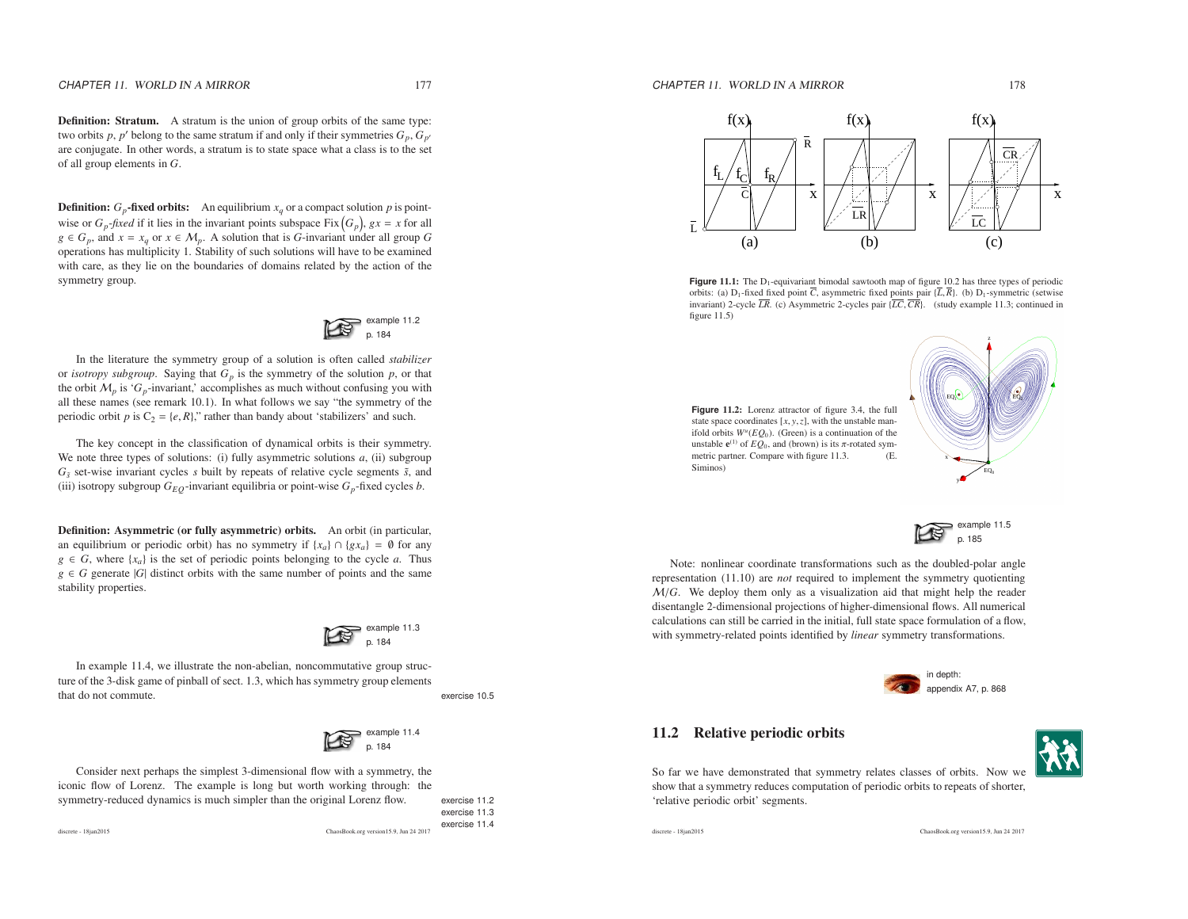Definition: Stratum. A stratum is the union of group orbits of the same type:two orbits *<sup>p</sup>*, *<sup>p</sup>*′ belong to the same stratum if and only if their symmetries *<sup>G</sup><sup>p</sup>*, *<sup>G</sup>p*′ are conjugate. In other words, <sup>a</sup> stratum is to state space what <sup>a</sup> class is to the setof all group elements in *<sup>G</sup>*.

**Definition:**  $G_p$ -fixed orbits: An equilibrium  $x_q$  or a compact solution *p* is pointwise or  $G_p$ -*fixed* if it lies in the invariant points subspace Fix  $(G_p)$ ,  $gx = x$  for all *g* ∈ *G*<sub>*p*</sub>, and *x* = *x*<sub>*q*</sub> or *x* ∈ *M*<sub>*p*</sub>. A solution that is *G*-invariant under all group *G*  operations has multiplicity 1. Stability of such solutions will have to be examined with care, as they lie on the boundaries of domains related by the action of the symmetry group.



In the literature the symmetry group of <sup>a</sup> solution is often called *stabilizer* or *isotropy subgroup*. Saying that  $G_p$  is the symmetry of the solution  $p$ , or that the orbit  $M_p$  is ' $G_p$ -invariant,' accomplishes as much without confusing you with all these names (see remark 10.1). In what follows we say "the symmetry of the periodic orbit *p* is  $C_2 = \{e, R\}$ ," rather than bandy about 'stabilizers' and such.

The key concep<sup>t</sup> in the classification of dynamical orbits is their symmetry. We note three types of solutions: (i) fully asymmetric solutions *<sup>a</sup>*, (ii) subgroup *Gs*˜ set-wise invariant cycles *<sup>s</sup>* built by repeats of relative cycle segments ˜*s*, and(iii) isotropy subgroup  $G_{EQ}$ -invariant equilibria or point-wise  $G_p$ -fixed cycles *b*.

Definition: Asymmetric (or fully asymmetric) orbits. An orbit (in particular, an equilibrium or periodic orbit) has no symmetry if  $\{x_a\} \cap \{gx_a\} = \emptyset$  for any *g* ∈ *G*, where { $x_a$ } is the set of periodic points belonging to the cycle *a*. Thus *g* ∈ *G* generate  $|G|$  distinct orbits with the same number of points and the same stability properties.



In example 11.4, we illustrate the non-abelian, noncommutative group structure of the 3-disk game of pinball of sect. 1.3, which has symmetry group elementsthat do not commute. The control of the control of the control of the control of the control of the control of the control of the control of the control of the control of the control of the control of the control of the co



Consider next perhaps the simplest 3-dimensional flow with <sup>a</sup> symmetry, the iconic flow of Lorenz. The example is long but worth working through: thesymmetry-reduced dynamics is much simpler than the original Lorenz flow. exercise 11.2

exercise 11.3

discrete - 18jan2015

 exercise 11.4ChaosBook.org version15.9, Jun <sup>24</sup> <sup>2017</sup>



**Figure 11.1:** The D<sub>1</sub>-equivariant bimodal sawtooth map of figure 10.2 has three types of periodic orbits: (a)  $D_1$ -fixed fixed point *C*, asymmetric fixed points pair {*L*, *R*}. (b)  $D_1$ -symmetric (setwise invariant) 2-cycle *LR*. (c) Asymmetric 2-cycles pair {*LC*,*CR*}. (study example 11.3; continued infigure 11.5) $)$ 

**Figure** 11.2: Lorenz attractor of figure 3.4, the full state space coordinates  $[x, y, z]$ , with the unstable manifold orbits *<sup>W</sup><sup>u</sup>*(*EQ*0). (Green) is <sup>a</sup> continuation of theunstable  $e^{(1)}$  of  $EQ_0$ , and (brown) is its  $\pi$ -rotated symmetric partner. Compare with figure 11.3. (E. Siminos)





Note: nonlinear coordinate transformations such as the doubled-polar angle representation (11.10) are *not* required to implement the symmetry quotienting M/*G*. We deploy them only as <sup>a</sup> visualization aid that might help the reader disentangle 2-dimensional projections of higher-dimensional flows. All numerical calculations can still be carried in the initial, full state space formulation of <sup>a</sup> flow, with symmetry-related points identified by *linear* symmetry transformations.



### 11.2 Relative periodic orbits



So far we have demonstrated that symmetry relates classes of orbits. Now we show that <sup>a</sup> symmetry reduces computation of periodic orbits to repeats of shorter, 'relative periodic orbit' segments.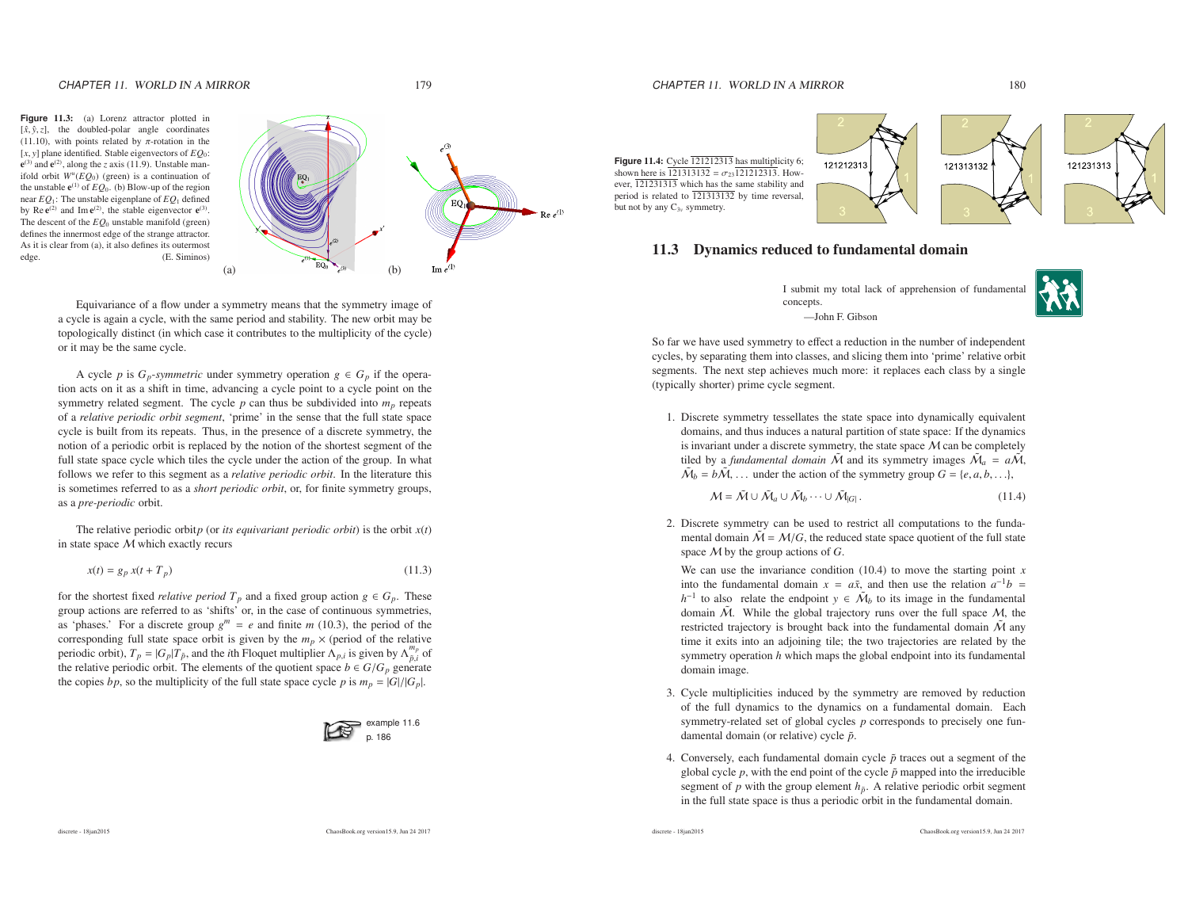## CHAPTER 11. WORLD IN A MIRROR 179

## CHAPTER 11. WORLD IN A MIRROR 180

**Figure** 11.3: (a) Lorenz attractor <sup>p</sup>lotted in  $[\hat{x}, \hat{y}, z]$ , the doubled-polar angle coordinates (11.10), with points related by  $\pi$ -rotation in the [*<sup>x</sup>*, *<sup>y</sup>*] plane identified. Stable eigenvectors of *EQ*0:  $e^{(3)}$  and  $e^{(2)}$ , along the *z* axis (11.9). Unstable manifold orbit *<sup>W</sup><sup>u</sup>*(*EQ*0) (green) is <sup>a</sup> continuation ofthe unstable  $e^{(1)}$  of  $EQ_0$ . (b) Blow-up of the region near *EQ*1: The unstable eigenplane of *EQ*<sup>1</sup> definedby Re  $e^{(2)}$  and Im  $e^{(2)}$ , the stable eigenvector  $e^{(3)}$ . The descent of the *EQ*<sup>0</sup> unstable manifold (green) defines the innermost edge of the strange attractor. As it is clear from (a), it also defines its outermostedge. (E. Siminos)



Equivariance of <sup>a</sup> flow under <sup>a</sup> symmetry means that the symmetry image of <sup>a</sup> cycle is again <sup>a</sup> cycle, with the same period and stability. The new orbit may be topologically distinct (in which case it contributes to the multiplicity of the cycle) or it may be the same cycle.

A cycle *p* is  $G_p$ -*symmetric* under symmetry operation  $g \in G_p$  if the operation acts on it as <sup>a</sup> shift in time, advancing <sup>a</sup> cycle point to <sup>a</sup> cycle point on thesymmetry related segment. The cycle  $p$  can thus be subdivided into  $m_p$  repeats of <sup>a</sup> *relative periodic orbit segment*, 'prime' in the sense that the full state space cycle is built from its repeats. Thus, in the presence of <sup>a</sup> discrete symmetry, the notion of <sup>a</sup> periodic orbit is replaced by the notion of the shortest segmen<sup>t</sup> of the full state space cycle which tiles the cycle under the action of the group. In what follows we refer to this segmen<sup>t</sup> as <sup>a</sup> *relative periodic orbit*. In the literature this is sometimes referred to as <sup>a</sup> *short periodic orbit*, or, for finite symmetry groups, as <sup>a</sup> *pre-periodic* orbit.

The relative periodic orbit*p* (or *its equivariant periodic orbit*) is the orbit  $x(t)$ in state space  $M$  which exactly recurs

$$
x(t) = g_p x(t + T_p) \tag{11.3}
$$

for the shortest fixed *relative period*  $T_p$  and a fixed group action  $g \in G_p$ . These group actions are referred to as 'shifts' or, in the case of continuous symmetries, as 'phases.' For a discrete group  $g^m = e$  and finite *m* (10.3), the period of the corresponding full state space orbit is given by the  $m_p \times$  (period of the relative periodic orbit),  $T_p = |G_p|T_{\tilde{p}}$ , and the *i*th Floquet multiplier  $\Lambda_{p,i}$  is given by  $\Lambda_{\tilde{p},i}^{m_p}$  of the relative periodic orbit. The elements of the quotient space  $b \in G/G_p$  generate the copies *bp*, so the multiplicity of the full state space cycle *p* is  $m_p = |G|/|G_p|$ .



**Figure** 11.4: Cycle <sup>121212313</sup> has multiplicity 6; shown here is 121313132 =  $\sigma_{23}$ 121212313. However, 121231313 which has the same stability and period is related to <sup>121313132</sup> by time reversal, but not by any C<sup>3</sup>*<sup>v</sup>* symmetry.





### 11.3 Dynamics reduced to fundamental domain

I submit my total lack of apprehension of fundamentalconcepts.—John F. Gibson

So far we have used symmetry to <sup>e</sup>ffect <sup>a</sup> reduction in the number of independent cycles, by separating them into classes, and slicing them into 'prime' relative orbitsegments. The next step achieves much more: it replaces each class by <sup>a</sup> single (typically shorter) prime cycle segment.

1. Discrete symmetry tessellates the state space into dynamically equivalent domains, and thus induces <sup>a</sup> natural partition of state space: If the dynamicsis invariant under a discrete symmetry, the state space M can be completely<br>tiled by a fundamental domain  $\tilde{M}$  and its symmetry images  $\tilde{M} = a\tilde{M}$ tiled by a *fundamental domain*  $\tilde{M}$  and its symmetry images  $\tilde{M}_a = a\tilde{M}$ ,  $\tilde{M}_b = b\tilde{M}$ , ... under the action of the symmetry group  $G = \{e, a, b, ...\}$ ,

$$
M = M \cup M_a \cup M_b \cdots \cup M_{|G|}.
$$
 (11.4)

2. Discrete symmetry can be used to restrict all computations to the fundamental domain  $\tilde{M} = M/G$ , the reduced state space quotient of the full state space *M* by the group actions of *G*.

We can use the invariance condition (10.4) to move the starting point *<sup>x</sup>*into the fundamental domain  $x = a\tilde{x}$ , and then use the relation  $a^{-1}b =$ *h*<sup>−1</sup> to also relate the endpoint *y* ∈  $\tilde{M}_b$  to its image in the fundamental domain  $\tilde{M}$ . While the global trajectory runs over the full space  $M$ , the restricted trajectory is brought back into the fundamental domain  $\tilde{M}$  any time it exits into an adjoining tile; the two trajectories are related by the symmetry operation *<sup>h</sup>* which maps the <sup>g</sup>lobal endpoint into its fundamental domain image.

- 3. Cycle multiplicities induced by the symmetry are removed by reduction of the full dynamics to the dynamics on <sup>a</sup> fundamental domain. Each symmetry-related set of global cycles *p* corresponds to precisely one fundamental domain (or relative) cycle  $\tilde{p}$ .
- 4. Conversely, each fundamental domain cycle  $\tilde{p}$  traces out a segment of the global cycle  $p$ , with the end point of the cycle  $\tilde{p}$  mapped into the irreducible segment of  $p$  with the group element  $h_{\tilde{p}}$ . A relative periodic orbit segment in the full state space is thus <sup>a</sup> periodic orbit in the fundamental domain.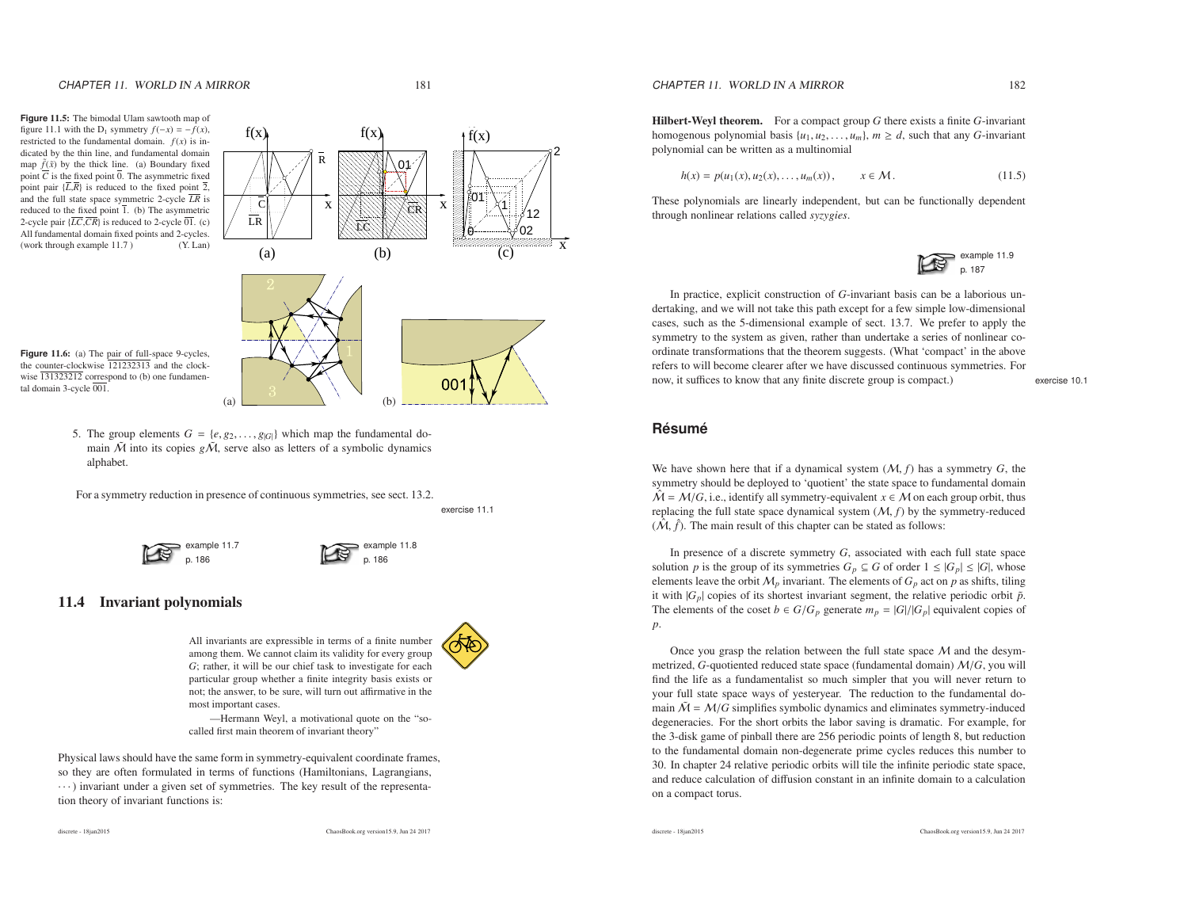**Figure** 11.5: The bimodal Ulam sawtooth map of figure 11.1 with the D<sub>1</sub> symmetry  $f(-x) = -f(x)$ , restricted to the fundamental domain.  $f(x)$  is indicated by the thin line, and fundamental domainmap  $\tilde{f}(\tilde{x})$  by the thick line. (a) Boundary fixed point  $\overline{C}$  is the fixed point  $\overline{0}$ . The asymmetric fixed point pair {*L*,*R*} is reduced to the fixed point 2, and the full state space symmetric 2-cycle *LR* is reduced to the fixed point 1. (b) The asymmetric 2-cycle pair {*LC*,*CR*} is reduced to 2-cycle 01. (c) All fundamental domain fixed points and 2-cycles. (work through example 11.7 ) (Y. Lan)



**Figure** 11.6: (a) The pair of full-space 9-cycles, the counter-clockwise <sup>121232313</sup> and the clockwise 131323212 correspond to (b) one fundamental domain 3-cycle 001.

> 5. The group elements  $G = \{e, g_2, \ldots, g_{|G|}\}$  which map the fundamental do-<br>main  $\tilde{M}$  into its copies  $g\tilde{M}$  serve also as letters of a symbolic dynamics main  $\tilde{M}$  into its copies  $g\tilde{M}$ , serve also as letters of a symbolic dynamics alphabet.

(a)

For <sup>a</sup> symmetry reduction in presence of continuous symmetries, see sect. 13.2.

exercise 11.1

00

example 11.7p. 186

## 11.4 Invariant polynomials

All invariants are expressible in terms of <sup>a</sup> finite number among them. We cannot claim its validity for every group *G*; rather, it will be our chief task to investigate for each particular group whether <sup>a</sup> finite integrity basis exists or not; the answer, to be sure, will turn out <sup>a</sup>ffirmative in themost important cases.

 $\qquad \qquad (b)$ 

—Hermann Weyl, <sup>a</sup> motivational quote on the "socalled first main theorem of invariant theory"

Physical laws should have the same form in symmetry-equivalent coordinate frames, so they are often formulated in terms of functions (Hamiltonians, Lagrangians, · · · ) invariant under <sup>a</sup> <sup>g</sup>iven set of symmetries. The key result of the representation theory of invariant functions is:

example 11.8p. 186

## CHAPTER 11. WORLD IN A MIRROR 182

$$
h(x) = p(u_1(x), u_2(x), \dots, u_m(x)), \qquad x \in \mathcal{M}.
$$
 (11.5)

These polynomials are linearly independent, but can be functionally dependentthrough nonlinear relations called *syzygies*.

example 11.9 p. 187

In practice, explicit construction of *<sup>G</sup>*-invariant basis can be <sup>a</sup> laborious undertaking, and we will not take this path excep<sup>t</sup> for <sup>a</sup> few simple low-dimensional cases, such as the 5-dimensional example of sect. 13.7. We prefer to apply the symmetry to the system as given, rather than undertake <sup>a</sup> series of nonlinear coordinate transformations that the theorem suggests. (What 'compact' in the above refers to will become clearer after we have discussed continuous symmetries. Fornow, it suffices to know that any finite discrete group is compact.)

exercise 10.1

# **Resum ´ e´**

We have shown here that if <sup>a</sup> dynamical system (M, *f*) has <sup>a</sup> symmetry *<sup>G</sup>*, the symmetry should be deployed to 'quotient' the state space to fundamental domain  $\hat{M} = M/G$ , i.e., identify all symmetry-equivalent  $x \in M$  on each group orbit, thus replacing the full state space dynamical system  $(M, f)$  by the symmetry-reduced replacing the full state space dynamical system (M, *f*) by the symmetry-reduced $(\hat{\mathcal{M}}, \hat{f})$ . The main result of this chapter can be stated as follows:

In presence of <sup>a</sup> discrete symmetry *<sup>G</sup>*, associated with each full state space solution *p* is the group of its symmetries  $G_p \subseteq G$  of order  $1 \leq |G_p| \leq |G|$ , whose elements leave the orbit  $M_p$  invariant. The elements of  $G_p$  act on  $p$  as shifts, tiling it with  $|G_p|$  copies of its shortest invariant segment, the relative periodic orbit  $\tilde{p}$ . The elements of the coset  $b \in G/G_p$  generate  $m_p = |G|/|G_p|$  equivalent copies of *p*.

Once you grasp the relation between the full state space  $M$  and the desym-<br>rized  $G$ -quotiented reduced state space (fundamental domain)  $M/G$  you will metrized, *G*-quotiented reduced state space (fundamental domain) M/*G*, you will find the life as <sup>a</sup> fundamentalist so much simpler that you will never return to your full state space ways of yesteryear. The reduction to the fundamental domain  $\tilde{M} = M/G$  simplifies symbolic dynamics and eliminates symmetry-induced degeneracies. For the short orbits the labor saving is dramatic. For example, for the 3-disk game of pinball there are 256 periodic points of length 8, but reduction to the fundamental domain non-degenerate prime cycles reduces this number to 30. In chapter 24 relative periodic orbits will tile the infinite periodic state space, and reduce calculation of diffusion constant in an infinite domain to <sup>a</sup> calculationon <sup>a</sup> compact torus.

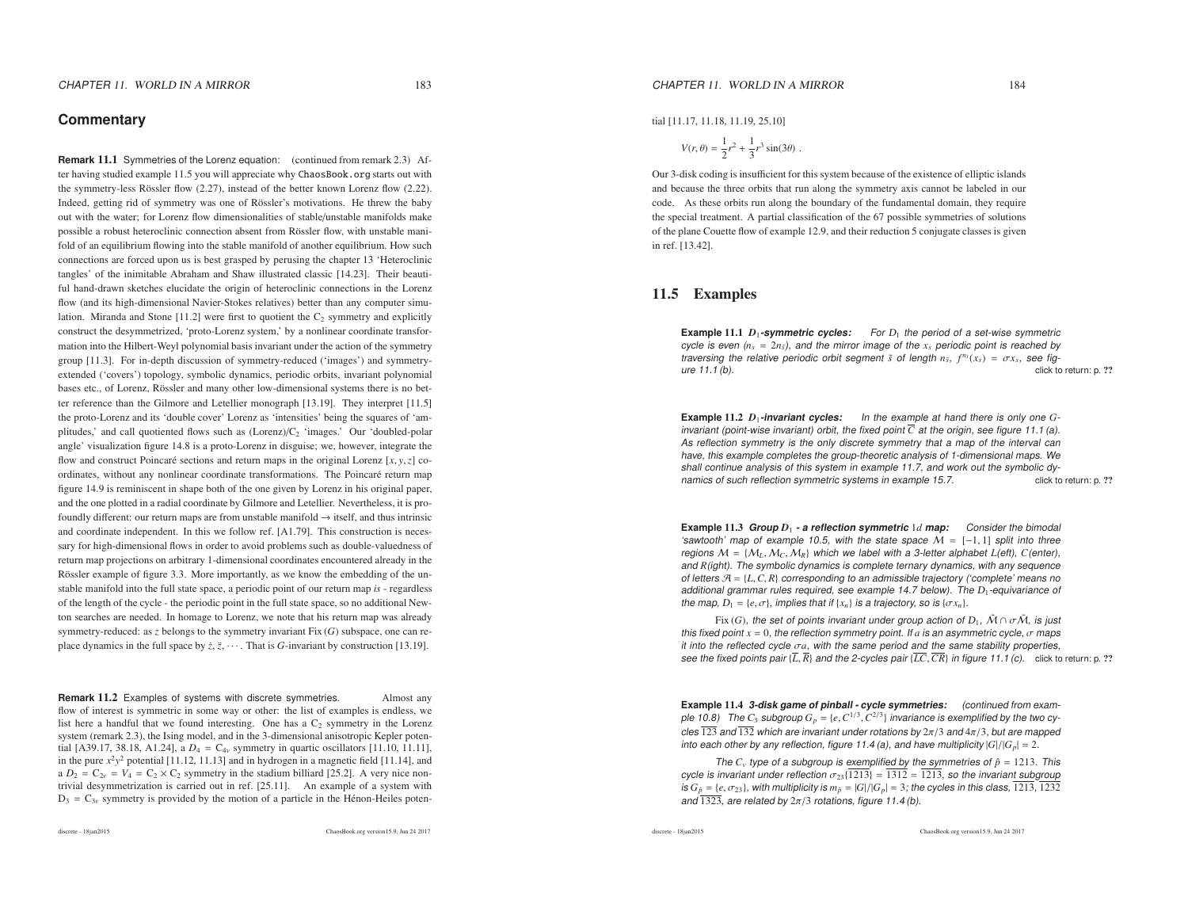### **Commentary**

**Remark** 11.1 Symmetries of the Lorenz equation: (continued from remark 2.3) After having studied example 11.5 you will appreciate why ChaosBook.org starts out with the symmetry-less Rössler flow  $(2.27)$ , instead of the better known Lorenz flow  $(2.22)$ . Indeed, getting rid of symmetry was one of Rössler's motivations. He threw the baby out with the water; for Lorenz flow dimensionalities of stable/unstable manifolds makepossible a robust heteroclinic connection absent from Rössler flow, with unstable manifold of an equilibrium flowing into the stable manifold of another equilibrium. How such connections are forced upon us is best grasped by perusing the chapter 13 'Heteroclinic tangles' of the inimitable Abraham and Shaw illustrated classic [14.23]. Their beautiful hand-drawn sketches elucidate the origin of heteroclinic connections in the Lorenz flow (and its high-dimensional Navier-Stokes relatives) better than any computer simulation. Miranda and Stone [11.2] were first to quotient the  $C_2$  symmetry and explicitly construct the desymmetrized, 'proto-Lorenz system,' by <sup>a</sup> nonlinear coordinate transformation into the Hilbert-Weyl polynomial basis invariant under the action of the symmetry group [11.3]. For in-depth discussion of symmetry-reduced ('images') and symmetryextended ('covers') topology, symbolic dynamics, periodic orbits, invariant polynomialbases etc., of Lorenz, Rössler and many other low-dimensional systems there is no better reference than the Gilmore and Letellier monograph [13.19]. They interpret [11.5] the proto-Lorenz and its 'double cover' Lorenz as 'intensities' being the squares of 'amplitudes,' and call quotiented flows such as  $(Lorenz)/C_2$  'images.' Our 'doubled-polar angle' visualization figure 14.8 is <sup>a</sup> proto-Lorenz in disguise; we, however, integrate theflow and construct Poincaré sections and return maps in the original Lorenz  $[x, y, z]$  coordinates, without any nonlinear coordinate transformations. The Poincaré return map figure 14.9 is reminiscent in shape both of the one given by Lorenz in his original paper, and the one plotted in <sup>a</sup> radial coordinate by Gilmore and Letellier. Nevertheless, it is profoundly different: our return maps are from unstable manifold  $\rightarrow$  itself, and thus intrinsic and coordinate independent. In this we follow ref. [A1.79]. This construction is necessary for high-dimensional flows in order to avoid problems such as double-valuedness of return map projections on arbitrary 1-dimensional coordinates encountered already in theRössler example of figure 3.3. More importantly, as we know the embedding of the unstable manifold into the full state space, <sup>a</sup> periodic point of our return map *is* - regardless of the length of the cycle - the periodic point in the full state space, so no additional Newton searches are needed. In homage to Lorenz, we note that his return map was already symmetry-reduced: as *<sup>z</sup>* belongs to the symmetry invariant Fix (*G*) subspace, one can replace dynamics in the full space by  $\dot{z}$ ,  $\ddot{z}$ ,  $\cdots$ . That is *G*-invariant by construction [13.19].

**Remark 11.2** Examples of systems with discrete symmetries. Almost any flow of interest is symmetric in some way or other: the list of examples is endless, welist here a handful that we found interesting. One has a  $C_2$  symmetry in the Lorenz system (remark 2.3), the Ising model, and in the 3-dimensional anisotropic Kepler potential [A39.17, 38.18, A1.24], a  $D_4 = C_{4\nu}$  symmetry in quartic oscillators [11.10, 11.11], in the pure  $x^2y^2$  potential [11.12, 11.13] and in hydrogen in a magnetic field [11.14], and a  $D_2 = C_{2v} = V_4 = C_2 \times C_2$  symmetry in the stadium billiard [25.2]. A very nice nontrivial desymmetrization is carried out in ref. [25.11]. An example of <sup>a</sup> system with  $D_3 = C_{3v}$  symmetry is provided by the motion of a particle in the Hénon-Heiles poten-

ChaosBook.org version15.9, Jun <sup>24</sup> <sup>2017</sup>

tial [11.17, 11.18, 11.19, 25.10]

$$
V(r,\theta) = \frac{1}{2}r^2 + \frac{1}{3}r^3\sin(3\theta) \ .
$$

Our 3-disk coding is insufficient for this system because of the existence of elliptic islands and because the three orbits that run along the symmetry axis cannot be labeled in our code. As these orbits run along the boundary of the fundamental domain, they require the special treatment. A partial classification of the 67 possible symmetries of solutions of the plane Couette flow of example 12.9, and their reduction <sup>5</sup> conjugate classes is <sup>g</sup>iven in ref. [13.42].

### 11.5 Examples

**Example 11.1** *D***<sub>1</sub>-symmetric cycles:** For D<sub>1</sub> the period of a set-wise symmetric cycle is even  $(n_s = 2n_{\bar{s}})$ , and the mirror image of the  $x_s$  periodic point is reached by traversing the relative periodic orbit segment  $\tilde{s}$  of length  $n_{\tilde{s}}, f^{n_{\tilde{s}}}(x_s) = \sigma x_s$ , see figure 11.1 (b). click to return: p. ??

**Example** 11.2  $D_1$ -**invariant cycles:** In the example at hand there is only one **Example 11.2**  $D_1$ -**invariant cycles:** In the example at hand there is only one *G*-invariant (point-wise invariant) orbit, the fixed point  $\overline{C}$  at the origin, see figure 11.1 (a). As reflection symmetry is the only discrete symmetry that <sup>a</sup> map of the interval can have, this example completes the group-theoretic analysis of 1-dimensional maps. We shall continue analysis of this system in example 11.7, and work out the symbolic dynamics of such reflection symmetric systems in example 15.7. click to return: p. ??

**Example** 11.3 **Group** *<sup>D</sup>*<sup>1</sup> **- <sup>a</sup> reflection symmetric** <sup>1</sup>*<sup>d</sup>* **map:** Consider the bimodal 'sawtooth' map of example 10.5, with the state space <sup>M</sup>'sawtooth' map of example 10.5, with the state space  $\mathcal{M} = [-1, 1]$  split into three<br>regions  $\mathcal{M} = \{\mathcal{M}_L, \mathcal{M}_C, \mathcal{M}_R\}$  which we label with a 3-letter alphabet L(eft), C(enter), regions M = {M<sub>L</sub>, M<sub>C</sub>, M<sub>R</sub>} which we label with a 3-letter alphabet *L(eft), C(enter),*<br>and *R(ight). The symbolic dynamics is complete ternary dynamics, with any sequence* of letters <sup>A</sup> <sup>=</sup> {*L*,*C*, *<sup>R</sup>*} corresponding to an admissible trajectory ('complete' means no additional grammar rules required, see example 14.7 below). The  $D_1$ -equivariance of the map,  $D_1 = \{e, \sigma\}$ , implies that if  $\{x_n\}$  is a trajectory, so is  $\{\sigma x_n\}$ .

Fix  $(G)$ , the set of points invariant under group action of  $D_1$ ,  $\tilde{M} \cap \sigma \tilde{M}$ , is just this fixed point *<sup>x</sup>* <sup>=</sup> <sup>0</sup>, the reflection symmetry point. If *<sup>a</sup>* is an asymmetric cycle, <sup>σ</sup> maps it into the reflected cycle <sup>σ</sup>*a*, with the same period and the same stability properties, see the fixed points pair {*L*, *<sup>R</sup>*} and the 2-cycles pair {*LC*,*CR*} in figure 11.1 (c). click to return: p. ??

**Example** 11.4 **3-disk game of pinball - cycle symmetries:** (continued from example 10.8) The  $C_3$  subgroup  $G_p = \{e, C^{1/3}, C^{2/3}\}$  invariance is exemplified by the two cycles 123 and 132 which are invariant under rotations by  $2\pi/3$  and  $4\pi/3$ , but are mapped into each other by any reflection, figure 11.4 (a), and have multiplicity  $|G|/|G_p| = 2$ .

The  $C_v$  type of a subgroup is exemplified by the symmetries of  $\hat{p} = 1213$ . This cycle is invariant under reflection  $\sigma_{23}{1213} = 1312 = 1213$ , so the invariant subgroup is  $G_{\hat{p}} = \{e, \sigma_{23}\}$ , with multiplicity is  $m_{\hat{p}} = |G|/|G_p| = 3$ ; the cycles in this class, 1213, 1232<br>and  $\overline{1333}$ , are related by  $2\pi/3$  retations, figure 11.4 (b) and 1323, are related by  $2\pi/3$  rotations, figure 11.4 (b).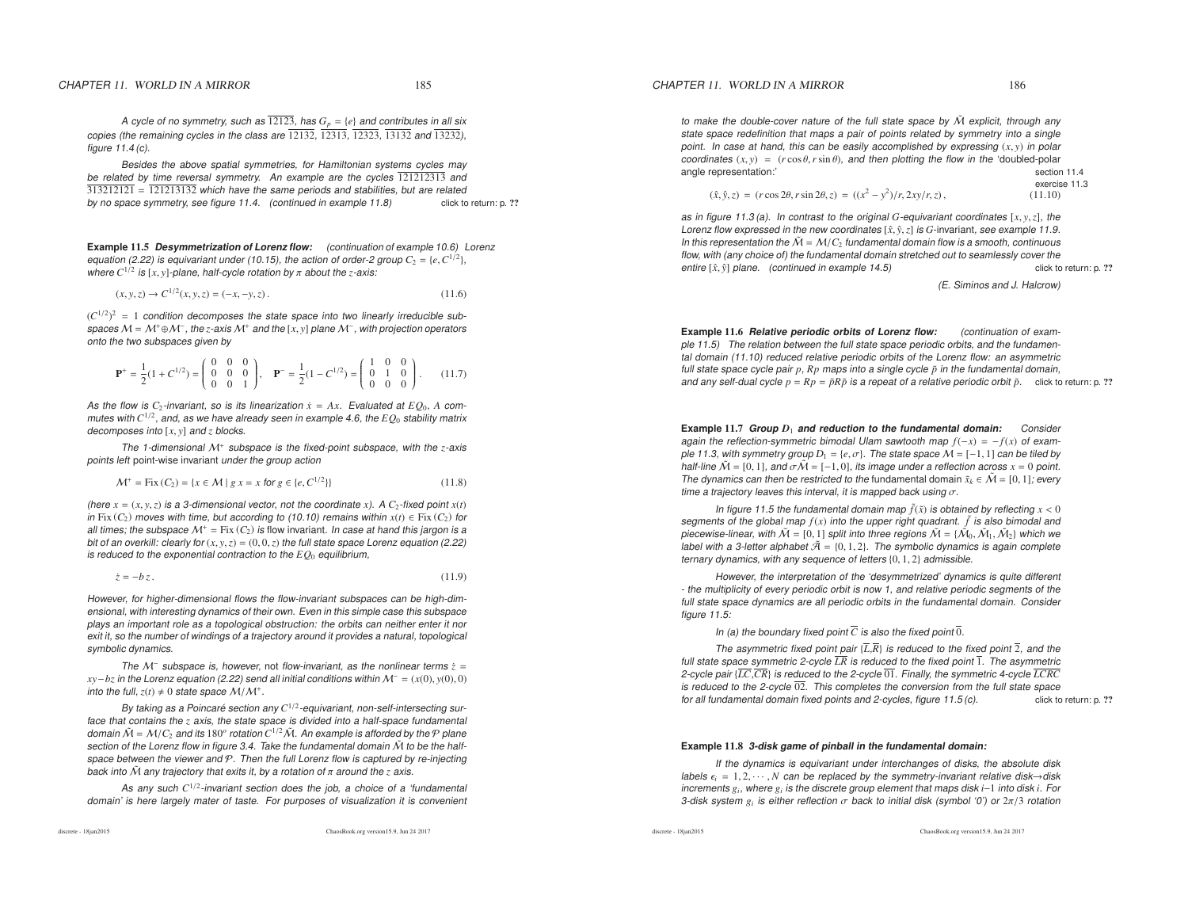A cycle of no symmetry, such as  $12123$ , has  $G_p = \{e\}$  and contributes in all six copies (the remaining cycles in the class are <sup>12132</sup>, <sup>12313</sup>, <sup>12323</sup>, <sup>13132</sup> and <sup>13232</sup>), figure 11.4 (c).

Besides the above spatial symmetries, for Hamiltonian systems cycles maybe related by time reversal symmetry. An example are the cycles 121212313 and 313212121 <sup>=</sup> <sup>121213132</sup> which have the same periods and stabilities, but are related by no space symmetry, see figure 11.4. (continued in example 11.8)click to return: p. ??

**Example** 11.5 **Desymmetrization of Lorenz flow:** (continuation of example 10.6) Lorenz equation (2.22) is equivariant under (10.15), the action of order-2 group  $C_2 = \{e, C^{1/2}\},\$ where  $C^{1/2}$  is  $[x, y]$ -plane, half-cycle rotation by  $\pi$  about the  $z$ -axis:

$$
(x, y, z) \to C^{1/2}(x, y, z) = (-x, -y, z).
$$
\n(11.6)

 $(C^{1/2})^2$  = 1 condition decomposes the state space into two linearly irreducible subspaces M = M<sup>+</sup>⊕M<sup>−</sup>, the *z-*axis M<sup>+</sup> and the [*x*, *y*] plane M<sup>−</sup>, with projection operators<br>onto the two subspaces given by onto the two subspaces given by

$$
\mathbf{P}^+ = \frac{1}{2}(1 + C^{1/2}) = \begin{pmatrix} 0 & 0 & 0 \\ 0 & 0 & 0 \\ 0 & 0 & 1 \end{pmatrix}, \quad \mathbf{P}^- = \frac{1}{2}(1 - C^{1/2}) = \begin{pmatrix} 1 & 0 & 0 \\ 0 & 1 & 0 \\ 0 & 0 & 0 \end{pmatrix}.
$$
 (11.7)

As the flow is  $C_2$ -invariant, so is its linearization  $\dot{x} = Ax$ . Evaluated at  $EQ_0$ , *A* commutes with  $C^{1/2}$ , and, as we have already seen in example 4.6, the  $EQ_0$  stability matrix decomposes into [*<sup>x</sup>*, *<sup>y</sup>*] and *<sup>z</sup>* blocks.

The 1-dimensional M+ subspace is the fixed-point subspace, with the *<sup>z</sup>*-axis points left point-wise invariant under the group action

$$
\mathcal{M}^+ = \text{Fix}\,(C_2) = \{x \in \mathcal{M} \mid g \, x = x \text{ for } g \in \{e, C^{1/2}\}\}\
$$
\n(11.8)

(here  $x = (x, y, z)$  is a 3-dimensional vector, not the coordinate *x*). A  $C_2$ -fixed point  $x(t)$ in Fix  $(C_2)$  moves with time, but according to (10.10) remains within  $x(t) \in Fix(C_2)$  for all times; the subspace  $\mathcal{M}^+$  = Fix  $(C_2)$  is flow invariant. In case at hand this jargon is a bit of an overkill: clearly for (*<sup>x</sup>*, *<sup>y</sup>*,*<sup>z</sup>*) <sup>=</sup> (0, <sup>0</sup>,*<sup>z</sup>*) the full state space Lorenz equation (2.22) is reduced to the exponential contraction to the  $EQ_0$  equilibrium,

$$
\dot{z} = -bz. \tag{11.9}
$$

However, for higher-dimensional flows the flow-invariant subspaces can be high-dimensional, with interesting dynamics of their own. Even in this simple case this subspace plays an important role as <sup>a</sup> topological obstruction: the orbits can neither enter it nor exit it, so the number of windings of <sup>a</sup> trajectory around it provides <sup>a</sup> natural, topological symbolic dynamics.

The M<sup>−</sup> subspace is, however, not flow-invariant, as the nonlinear terms  $\dot{z}$  = *xy*−*bz* in the Lorenz equation (2.22) send all initial conditions withinM− <sup>=</sup> (*x*(0), *<sup>y</sup>*(0), 0) into the full,  $z(t) \neq 0$  state space  $\mathcal{M}/\mathcal{M}^+$ .

By taking as a Poincaré section any  $C^{1/2}$ -equivariant, non-self-intersecting sur face that contains the *<sup>z</sup>* axis, the state space is divided into <sup>a</sup> half-space fundamental domain  $\tilde{M} = M/C_2$  and its 180<sup>o</sup> rotation  $C^{1/2}\tilde{M}$ . An example is afforded by the P plane section of the Lorenz flow in figure 3.4. Take the fundamental domain  $\tilde{\mathcal{M}}$  to be the halfspace between the viewer and  $\mathcal{P}.$  Then the full Lorenz flow is captured by re-injecting back into  $\tilde{\mathcal{M}}$  any trajectory that exits it, by a rotation of  $\pi$  around the  $z$  axis.

As any such *<sup>C</sup>*<sup>1</sup>/<sup>2</sup>-invariant section does the job, <sup>a</sup> choice of <sup>a</sup> 'fundamental domain' is here largely mater of taste. For purposes of visualization it is convenient

to make the double-cover nature of the full state space by  $\tilde{M}$  explicit, through any state space redefinition that maps <sup>a</sup> pair of points related by symmetry into <sup>a</sup> single point. In case at hand, this can be easily accomplished by expressing (*<sup>x</sup>*, *<sup>y</sup>*) in polar  $coordinates (x, y) = (r cos \theta, r sin \theta)$ , and then plotting the flow in the 'doubled-polar angle representation:' section 11.4

$$
(\hat{x}, \hat{y}, z) = (r \cos 2\theta, r \sin 2\theta, z) = ((x^2 - y^2)/r, 2xy/r, z),
$$
\nexercise 11.3

\n(11.10)

as in figure 11.3 (a). In contrast to the original *G*-equivariant coordinates [*<sup>x</sup>*, *<sup>y</sup>*,*<sup>z</sup>*], the Lorenz flow expressed in the new coordinates [ <sup>ˆ</sup>*x*, *<sup>y</sup>*<sup>ˆ</sup>,*<sup>z</sup>*] is *G*-invariant, see example 11.9. In this representation the  $\tilde{M} = M/C_2$  fundamental domain flow is a smooth, continuous flow, with (any choice of) the fundamental domain stretched out to seamlessly cover theclick to return: p. ?? entire [ $\hat{x}$ ,  $\hat{y}$ ] plane. (continued in example 14.5) click to return: p. ??

(E. Siminos and J. Halcrow)

**Example** 11.6 **Relative periodic orbits of Lorenz flow:** (continuation of example 11.5) The relation between the full state space periodic orbits, and the fundamental domain (11.10) reduced relative periodic orbits of the Lorenz flow: an asymmetric full state space cycle pair *<sup>p</sup>*, *Rp* maps into <sup>a</sup> single cycle *<sup>p</sup>*˜ in the fundamental domain, and any self-dual cycle *<sup>p</sup>* <sup>=</sup> *Rp* <sup>=</sup> *<sup>p</sup>R*˜ *<sup>p</sup>*˜ is <sup>a</sup> repeat of <sup>a</sup> relative periodic orbit *<sup>p</sup>*˜. click to return: p. ??

**Example** 11.7 **Group***D*1 **and reduction to the fundamental domain:** Consider again the reflection-symmetric bimodal Ulam sawtooth map *f*(−*<sup>x</sup>*) <sup>=</sup> <sup>−</sup>*f*(*x*) of example 11.3, with symmetry group D<sub>1</sub> = {e,σ}. The state space M = [−1, 1] can be tiled by<br>half-line Ñ = [0, 1], and σ Ñ = [−1, 0], its image under a reflection across x = 0, point half-line  $\tilde{\mathcal{M}} = [0, 1]$ , and  $\sigma \tilde{\mathcal{M}} = [-1, 0]$ , its image under a reflection across  $x = 0$  point. The dynamics can then be restricted to the fundamental domain  $\tilde{x}_k \in \tilde{\mathcal{M}} = [0, 1]$ ; every time a trajectory leaves this interval, it is mapped back using  $\sigma.$ 

In figure 11.5 the fundamental domain map  $\tilde{f}(\tilde{x})$  is obtained by reflecting  $x < 0$ segments of the global map *f*(*x*) into the upper right quadrant. ˜*f* is also bimodal andpiecewise-linear, with  $\tilde{M} = [0, 1]$  split into three regions  $\tilde{M} = {\{\tilde{M}_0, \tilde{M}_1, \tilde{M}_2\}}$  which we label with a 3-letter alphabet  $\tilde{\mathcal{A}} = \{0, 1, 2\}$ . The symbolic dynamics is again complete ternary dynamics, with any sequence of letters {0, <sup>1</sup>, <sup>2</sup>} admissible.

However, the interpretation of the 'desymmetrized' dynamics is quite different - the multiplicity of every periodic orbit is now 1, and relative periodic segments of the full state space dynamics are all periodic orbits in the fundamental domain. Considerfigure 11.5:

In (a) the boundary fixed point *C* is also the fixed point <sup>0</sup>.

The asymmetric fixed point pair {*L*,*R*} is reduced to the fixed point <sup>2</sup>, and the full state space symmetric 2-cycle *LR* is reduced to the fixed point <sup>1</sup>. The asymmetric 2-cycle pair {*LC*,*CR*} is reduced to the 2-cycle <sup>01</sup>. Finally, the symmetric 4-cycle *LCRC* is reduced to the 2-cycle <sup>02</sup>. This completes the conversion from the full state space for all fundamental domain fixed points and 2-cycles, figure  $11.5$  (c). click to return: p. ??

### **Example** 11.8 **3-disk game of pinball in the fundamental domain:**

If the dynamics is equivariant under interchanges of disks, the absolute disklabels  $\epsilon_i = 1, 2, \cdots, N$  can be replaced by the symmetry-invariant relative disk→disk increments *<sup>g</sup>i*, where *<sup>g</sup><sup>i</sup>* is the discrete group element that maps disk *<sup>i</sup>*−<sup>1</sup> into disk *<sup>i</sup>*. For 3-disk system *<sup>g</sup><sup>i</sup>* is either reflection σ back to initial disk (symbol '0') or <sup>2</sup>π/<sup>3</sup> rotation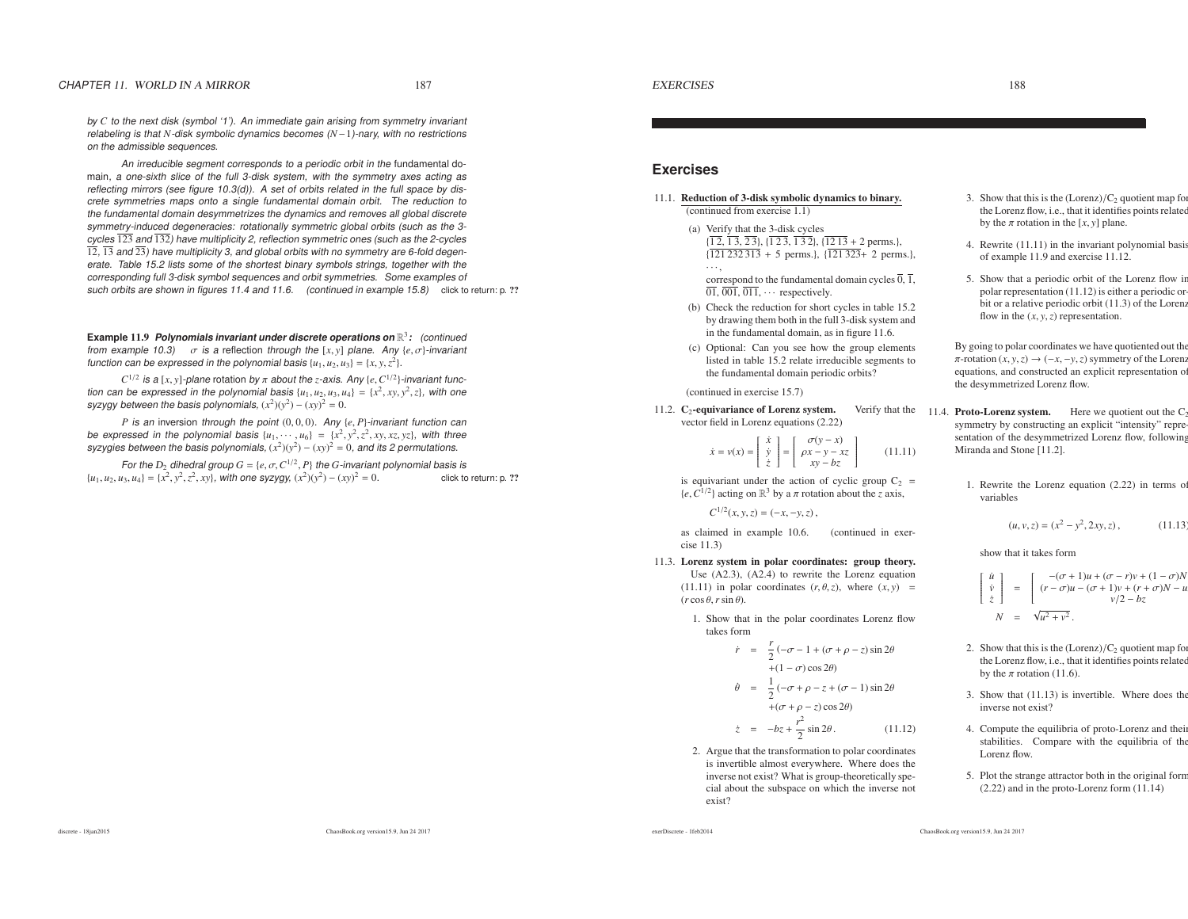by *<sup>C</sup>* to the next disk (symbol '1'). An immediate gain arising from symmetry invariant relabeling is that *<sup>N</sup>*-disk symbolic dynamics becomes (*N*−1)-nary, with no restrictionson the admissible sequences.

An irreducible segment corresponds to <sup>a</sup> periodic orbit in the fundamental domain, <sup>a</sup> one-sixth slice of the full 3-disk system, with the symmetry axes acting as reflecting mirrors (see figure 10.3(d)). A set of orbits related in the full space by discrete symmetries maps onto <sup>a</sup> single fundamental domain orbit. The reduction to the fundamental domain desymmetrizes the dynamics and removes all global discrete symmetry-induced degeneracies: rotationally symmetric global orbits (such as the 3c<u>y</u>cl<u>es 123 an</u>d 132) have multiplicity 2, reflection symmetric ones (such as the 2-cycles 12, 13 and <sup>23</sup>) have multiplicity 3, and global orbits with no symmetry are 6-fold degenerate. Table 15.2 lists some of the shortest binary symbols strings, together with the corresponding full 3-disk symbol sequences and orbit symmetries. Some examples of such orbits are shown in figures 11.4 and 11.6. (continued in example 15.8) click to return: p. ??

**Example** 11.9 **Polynomials invariant under discrete operations on** <sup>R</sup>3**:** (continued from example 10.3) <sup>σ</sup> is <sup>a</sup> reflection through the [*<sup>x</sup>*, *<sup>y</sup>*] plane. Any {*<sup>e</sup>*, <sup>σ</sup>}-invariant function can be expressed in the polynomial basis  $\{u_1, u_2, u_3\} = \{x, y, z^2\}.$ 

*C*<sup>1/2</sup> is a [*x*, *y*]-plane rotation by  $\pi$  about the *z*-axis. Any {*e*,  $C^{1/2}$ }-invariant function can be expressed in the polynomial basis  $\{u_1, u_2, u_3, u_4\} = \{x^2, xy, y^2, z\}$ , with one syzygy between the basis polynomials,  $(x^2)(y^2) - (xy)^2 = 0$ .

*P* is an inversion through the point (0, <sup>0</sup>, 0). Any {*<sup>e</sup>*, *<sup>P</sup>*}-invariant function can be expressed in the polynomial basis  $\{u_1, \dots, u_6\} = \{x^2, y^2, z^2, xy, xz, yz\}$ , with three syzygies between the basis polynomials,  $(x^2)(y^2) - (xy)^2 = 0$ , and its 2 permutations.

For the D<sub>2</sub> dihedral group  $G = \{e, \sigma, C^{1/2}, P\}$  the *G*-invariant polynomial basis is  $\{e, \mu\} = \{x^2, y^2, z^2, yy\}$ , with one syzygy  $(x^2)(y^2) = (xy)^2 = 0$ *{u*<sub>1</sub>, *u*<sub>2</sub>, *u*<sub>3</sub>, *u*<sub>4</sub>} = {*x*<sup>2</sup>, *y*<sup>2</sup>, *z*<sup>2</sup>, *xy*}, with one syzygy, (*x*<sup>2</sup>)(*y*<sup>2</sup>) − (*xy*)<sup>2</sup> = 0. click to return: p. ??

### **Exercises**

- 11.1. Reduction of 3-disk symbolic dynamics to binary. (continued from exercise 1.1)
	- (a) Verify that the 3-disk cycles $\{1, 2, 1, 3, 2, 3\}, \{1, 2, 3, 1, 3, 2\}, \{\underline{1, 2, 1, 3, 2, 2, 3, 1, 3, 2\}}$ {121 232 313 <sup>+</sup> <sup>5</sup> perms.}, {<sup>121</sup> <sup>323</sup><sup>+</sup> <sup>2</sup> perms.},

 $\ldots$ , correspond to the fundamental domain cycles  $\overline{0}$ ,  $\overline{1}$ ,  $01, 001, 011, \cdots$  respectively.

- (b) Check the reduction for short cycles in table 15.2 by drawing them both in the full 3-disk system andin the fundamental domain, as in figure 11.6.
- (c) Optional: Can you see how the group elements listed in table 15.2 relate irreducible segments tothe fundamental domain periodic orbits?

(continued in exercise 15.7)

11.2.  $C_2$ -equivariance of Lorenz system. Verify that the vector field in Lorenz equations (2.22)

$$
\dot{x} = v(x) = \begin{bmatrix} \dot{x} \\ \dot{y} \\ \dot{z} \end{bmatrix} = \begin{bmatrix} \sigma(y - x) \\ \rho x - y - xz \\ xy - bz \end{bmatrix}
$$
 (11.11)

is equivariant under the action of cyclic group  $C_2$  =  ${e, C^{1/2}}$  acting on  $\mathbb{R}^3$  by a  $\pi$  rotation about the *z* axis,

 $C^{1/2}(x, y, z) = (-x, -y, z)$ ,

as claimed in example 10.6. (continued in exercise 11.3)

11.3. Lorenz system in polar coordinates: group theory. Use (A2.3), (A2.4) to rewrite the Lorenz equation

 $(11.11)$  in polar coordinates  $(r, \theta, z)$ , where  $(x, y)$  =  $(r \cos \theta \text{ r} \sin \theta)$  $(r \cos \theta, r \sin \theta).$ 

1. Show that in the polar coordinates Lorenz flowtakes form

$$
\dot{r} = \frac{r}{2}(-\sigma - 1 + (\sigma + \rho - z)\sin 2\theta
$$
  
+ (1 - \sigma)\cos 2\theta)  

$$
\dot{\theta} = \frac{1}{2}(-\sigma + \rho - z + (\sigma - 1)\sin 2\theta
$$
  
+ (\sigma + \rho - z)\cos 2\theta)

- $\dot{z} = -bz + \frac{r^2}{2} \sin 2\theta$  . (11.12)
- 2. Argue that the transformation to polar coordinates is invertible almost everywhere. Where does the inverse not exist? What is group-theoretically special about the subspace on which the inverse notexist?
- 3. Show that this is the  $(Lorenz)/C_2$  quotient map for the Lorenz flow, i.e., that it identifies points related by the  $\pi$  rotation in the [ $x$ ,  $y$ ] plane.
- 4. Rewrite (11.11) in the invariant polynomial basisof example 11.9 and exercise 11.12.
- 5. Show that <sup>a</sup> periodic orbit of the Lorenz flow in polar representation (11.12) is either <sup>a</sup> periodic orbit or <sup>a</sup> relative periodic orbit (11.3) of the Lorenzflow in the  $(x, y, z)$  representation.

By going to polar coordinates we have quotiented out the $\pi$ -rotation  $(x, y, z) \rightarrow (-x, -y, z)$  symmetry of the Lorenz<br>equations and constructed an explicit representation of equations, and constructed an explicit representation ofthe desymmetrized Lorenz flow.

- $e$  11.4. **Proto-Lorenz system.** Here we quotient out the  $C_2$  symmetry by constructing an explicit "intensity" representation of the desymmetrized Lorenz flow, followingMiranda and Stone [11.2].
	- 1. Rewrite the Lorenz equation (2.22) in terms ofvariables

$$
(u, v, z) = (x2 - y2, 2xy, z), \t(11.13)
$$

#### show that it takes form

$$
\begin{bmatrix}\n\dot{u} \\
\dot{v} \\
\dot{z}\n\end{bmatrix} = \begin{bmatrix}\n-(\sigma+1)u + (\sigma-r)v + (1-\sigma)N \\
(r-\sigma)u - (\sigma+1)v + (r+\sigma)N - u \\
v/2 - bz\n\end{bmatrix}
$$
\n
$$
N = \sqrt{u^2 + v^2}.
$$

- 2. Show that this is the  $(Lorenz)/C_2$  quotient map for the Lorenz flow, i.e., that it identifies points related by the  $\pi$  rotation (11.6).
- 3. Show that (11.13) is invertible. Where does theinverse not exist?
- 4. Compute the equilibria of proto-Lorenz and their stabilities. Compare with the equilibria of theLorenz flow.
- 5. Plot the strange attractor both in the original form(2.22) and in the proto-Lorenz form (11.14)

exerDiscrete - 1feb2014